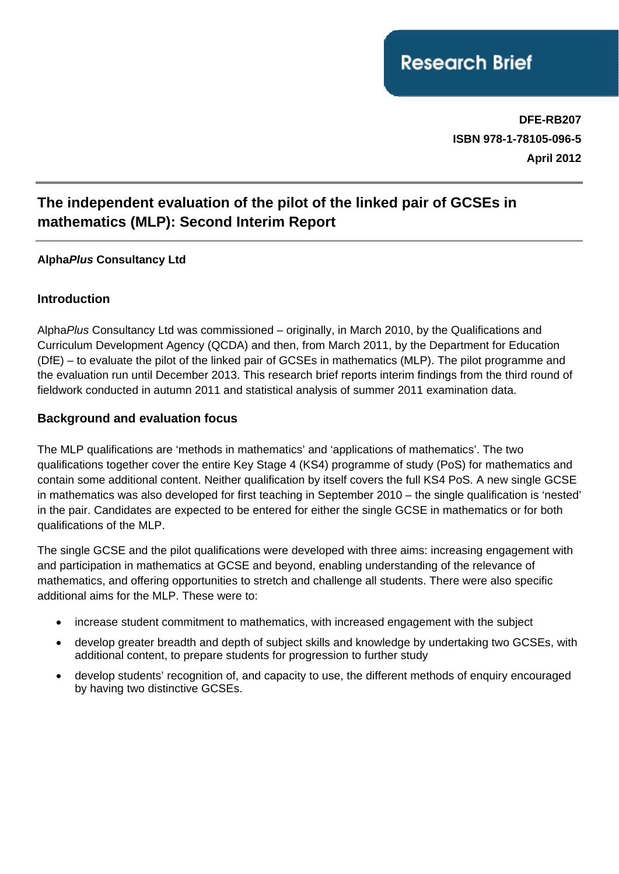**DFE-RB207 ISBN 978-1-78105-096-5 April 2012**

# **The independent evaluation of the pilot of the linked pair of GCSEs in mathematics (MLP): Second Interim Report**

#### **Alpha***Plus* **Consultancy Ltd**

#### **Introduction**

Alpha*Plus* Consultancy Ltd was commissioned – originally, in March 2010, by the Qualifications and Curriculum Development Agency (QCDA) and then, from March 2011, by the Department for Education (DfE) – to evaluate the pilot of the linked pair of GCSEs in mathematics (MLP). The pilot programme and the evaluation run until December 2013. This research brief reports interim findings from the third round of fieldwork conducted in autumn 2011 and statistical analysis of summer 2011 examination data.

#### **Background and evaluation focus**

The MLP qualifications are 'methods in mathematics' and 'applications of mathematics'. The two qualifications together cover the entire Key Stage 4 (KS4) programme of study (PoS) for mathematics and contain some additional content. Neither qualification by itself covers the full KS4 PoS. A new single GCSE in mathematics was also developed for first teaching in September 2010 – the single qualification is 'nested' in the pair. Candidates are expected to be entered for either the single GCSE in mathematics or for both qualifications of the MLP.

The single GCSE and the pilot qualifications were developed with three aims: increasing engagement with and participation in mathematics at GCSE and beyond, enabling understanding of the relevance of mathematics, and offering opportunities to stretch and challenge all students. There were also specific additional aims for the MLP. These were to:

- increase student commitment to mathematics, with increased engagement with the subject
- develop greater breadth and depth of subject skills and knowledge by undertaking two GCSEs, with additional content, to prepare students for progression to further study
- develop students' recognition of, and capacity to use, the different methods of enquiry encouraged by having two distinctive GCSEs.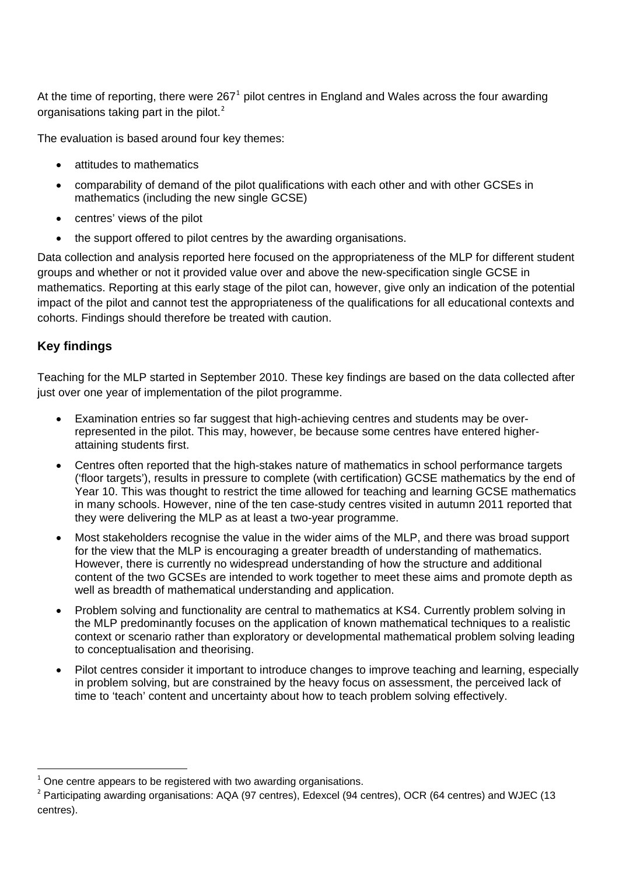At the time of reporting, there were  $267<sup>1</sup>$  $267<sup>1</sup>$  $267<sup>1</sup>$  pilot centres in England and Wales across the four awarding organisations taking part in the pilot.<sup>[2](#page-1-1)</sup>

The evaluation is based around four key themes:

- attitudes to mathematics
- comparability of demand of the pilot qualifications with each other and with other GCSEs in mathematics (including the new single GCSE)
- centres' views of the pilot
- the support offered to pilot centres by the awarding organisations.

Data collection and analysis reported here focused on the appropriateness of the MLP for different student groups and whether or not it provided value over and above the new-specification single GCSE in mathematics. Reporting at this early stage of the pilot can, however, give only an indication of the potential impact of the pilot and cannot test the appropriateness of the qualifications for all educational contexts and cohorts. Findings should therefore be treated with caution.

## **Key findings**

Teaching for the MLP started in September 2010. These key findings are based on the data collected after just over one year of implementation of the pilot programme.

- Examination entries so far suggest that high-achieving centres and students may be overrepresented in the pilot. This may, however, be because some centres have entered higherattaining students first.
- Centres often reported that the high-stakes nature of mathematics in school performance targets ('floor targets'), results in pressure to complete (with certification) GCSE mathematics by the end of Year 10. This was thought to restrict the time allowed for teaching and learning GCSE mathematics in many schools. However, nine of the ten case-study centres visited in autumn 2011 reported that they were delivering the MLP as at least a two-year programme.
- Most stakeholders recognise the value in the wider aims of the MLP, and there was broad support for the view that the MLP is encouraging a greater breadth of understanding of mathematics. However, there is currently no widespread understanding of how the structure and additional content of the two GCSEs are intended to work together to meet these aims and promote depth as well as breadth of mathematical understanding and application.
- Problem solving and functionality are central to mathematics at KS4. Currently problem solving in the MLP predominantly focuses on the application of known mathematical techniques to a realistic context or scenario rather than exploratory or developmental mathematical problem solving leading to conceptualisation and theorising.
- Pilot centres consider it important to introduce changes to improve teaching and learning, especially in problem solving, but are constrained by the heavy focus on assessment, the perceived lack of time to 'teach' content and uncertainty about how to teach problem solving effectively.

<span id="page-1-0"></span><sup>1</sup> One centre appears to be registered with two awarding organisations.

<span id="page-1-1"></span><sup>&</sup>lt;sup>2</sup> Participating awarding organisations: AQA (97 centres), Edexcel (94 centres), OCR (64 centres) and WJEC (13 centres).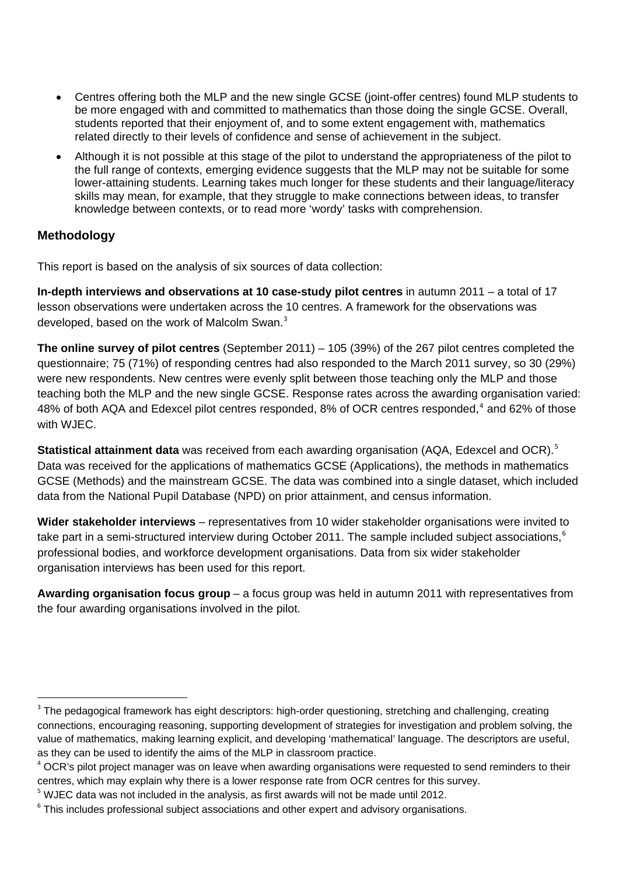- <span id="page-2-0"></span>• Centres offering both the MLP and the new single GCSE (joint-offer centres) found MLP students to be more engaged with and committed to mathematics than those doing the single GCSE. Overall, students reported that their enjoyment of, and to some extent engagement with, mathematics related directly to their levels of confidence and sense of achievement in the subject.
- Although it is not possible at this stage of the pilot to understand the appropriateness of the pilot to the full range of contexts, emerging evidence suggests that the MLP may not be suitable for some lower-attaining students. Learning takes much longer for these students and their language/literacy skills may mean, for example, that they struggle to make connections between ideas, to transfer knowledge between contexts, or to read more 'wordy' tasks with comprehension.

## **Methodology**

This report is based on the analysis of six sources of data collection:

**In-depth interviews and observations at 10 case-study pilot centres** in autumn 2011 – a total of 17 lesson observations were undertaken across the 10 centres. A framework for the observations was developed, based on the work of Malcolm Swan.<sup>[3](#page-2-0)</sup>

**The online survey of pilot centres** (September 2011) – 105 (39%) of the 267 pilot centres completed the questionnaire; 75 (71%) of responding centres had also responded to the March 2011 survey, so 30 (29%) were new respondents. New centres were evenly split between those teaching only the MLP and those teaching both the MLP and the new single GCSE. Response rates across the awarding organisation varied: [4](#page-2-0)8% of both AQA and Edexcel pilot centres responded, 8% of OCR centres responded,<sup>4</sup> and 62% of those with WJEC.

**Statistical attainment data** was received from each awarding organisation (AQA, Edexcel and OCR).<sup>[5](#page-2-0)</sup> Data was received for the applications of mathematics GCSE (Applications), the methods in mathematics GCSE (Methods) and the mainstream GCSE. The data was combined into a single dataset, which included data from the National Pupil Database (NPD) on prior attainment, and census information.

**Wider stakeholder interviews** – representatives from 10 wider stakeholder organisations were invited to take part in a semi-structured interview during October 2011. The sample included subject associations,<sup>[6](#page-2-0)</sup> professional bodies, and workforce development organisations. Data from six wider stakeholder organisation interviews has been used for this report.

**Awarding organisation focus group** – a focus group was held in autumn 2011 with representatives from the four awarding organisations involved in the pilot.

 $3$  The pedagogical framework has eight descriptors: high-order questioning, stretching and challenging, creating connections, encouraging reasoning, supporting development of strategies for investigation and problem solving, the value of mathematics, making learning explicit, and developing 'mathematical' language. The descriptors are useful, as they can be used to identify the aims of the MLP in classroom practice.

<sup>&</sup>lt;sup>4</sup> OCR's pilot project manager was on leave when awarding organisations were requested to send reminders to their centres, which may explain why there is a lower response rate from OCR centres for this survey.

 $5$  WJEC data was not included in the analysis, as first awards will not be made until 2012.

 $6$  This includes professional subject associations and other expert and advisory organisations.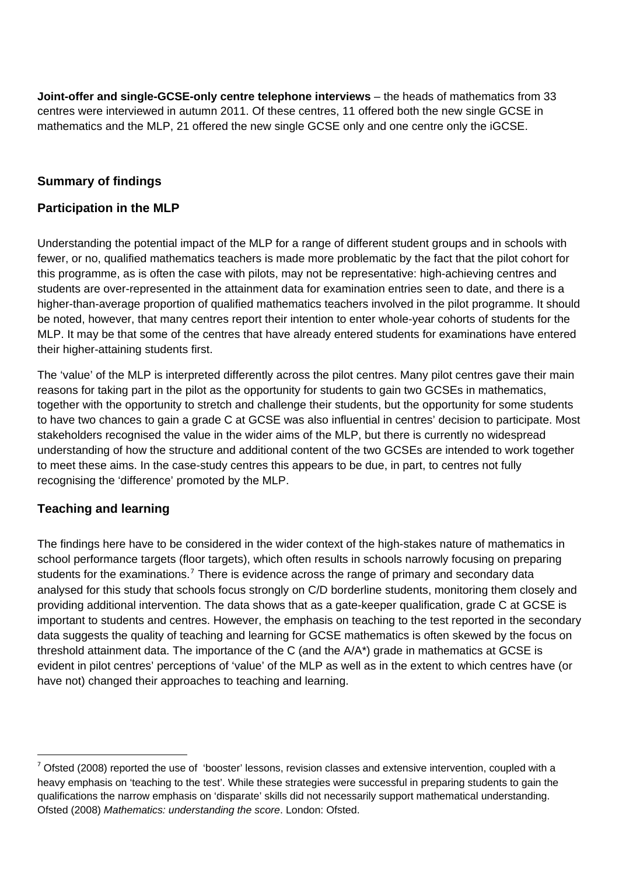<span id="page-3-0"></span>**Joint-offer and single-GCSE-only centre telephone interviews** – the heads of mathematics from 33 centres were interviewed in autumn 2011. Of these centres, 11 offered both the new single GCSE in mathematics and the MLP, 21 offered the new single GCSE only and one centre only the iGCSE.

## **Summary of findings**

## **Participation in the MLP**

Understanding the potential impact of the MLP for a range of different student groups and in schools with fewer, or no, qualified mathematics teachers is made more problematic by the fact that the pilot cohort for this programme, as is often the case with pilots, may not be representative: high-achieving centres and students are over-represented in the attainment data for examination entries seen to date, and there is a higher-than-average proportion of qualified mathematics teachers involved in the pilot programme. It should be noted, however, that many centres report their intention to enter whole-year cohorts of students for the MLP. It may be that some of the centres that have already entered students for examinations have entered their higher-attaining students first.

The 'value' of the MLP is interpreted differently across the pilot centres. Many pilot centres gave their main reasons for taking part in the pilot as the opportunity for students to gain two GCSEs in mathematics, together with the opportunity to stretch and challenge their students, but the opportunity for some students to have two chances to gain a grade C at GCSE was also influential in centres' decision to participate. Most stakeholders recognised the value in the wider aims of the MLP, but there is currently no widespread understanding of how the structure and additional content of the two GCSEs are intended to work together to meet these aims. In the case-study centres this appears to be due, in part, to centres not fully recognising the 'difference' promoted by the MLP.

## **Teaching and learning**

The findings here have to be considered in the wider context of the high-stakes nature of mathematics in school performance targets (floor targets), which often results in schools narrowly focusing on preparing students for the examinations.<sup>[7](#page-3-0)</sup> There is evidence across the range of primary and secondary data analysed for this study that schools focus strongly on C/D borderline students, monitoring them closely and providing additional intervention. The data shows that as a gate-keeper qualification, grade C at GCSE is important to students and centres. However, the emphasis on teaching to the test reported in the secondary data suggests the quality of teaching and learning for GCSE mathematics is often skewed by the focus on threshold attainment data. The importance of the C (and the A/A\*) grade in mathematics at GCSE is evident in pilot centres' perceptions of 'value' of the MLP as well as in the extent to which centres have (or have not) changed their approaches to teaching and learning.

<sup>7</sup> Ofsted (2008) reported the use of 'booster' lessons, revision classes and extensive intervention, coupled with a heavy emphasis on 'teaching to the test'. While these strategies were successful in preparing students to gain the qualifications the narrow emphasis on 'disparate' skills did not necessarily support mathematical understanding. Ofsted (2008) *Mathematics: understanding the score*. London: Ofsted.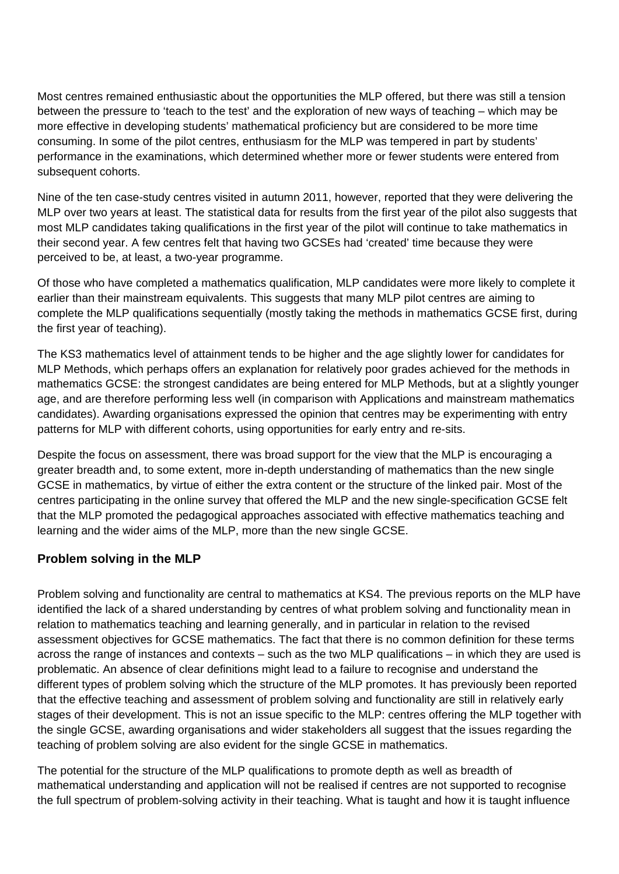Most centres remained enthusiastic about the opportunities the MLP offered, but there was still a tension between the pressure to 'teach to the test' and the exploration of new ways of teaching – which may be more effective in developing students' mathematical proficiency but are considered to be more time consuming. In some of the pilot centres, enthusiasm for the MLP was tempered in part by students' performance in the examinations, which determined whether more or fewer students were entered from subsequent cohorts.

Nine of the ten case-study centres visited in autumn 2011, however, reported that they were delivering the MLP over two years at least. The statistical data for results from the first year of the pilot also suggests that most MLP candidates taking qualifications in the first year of the pilot will continue to take mathematics in their second year. A few centres felt that having two GCSEs had 'created' time because they were perceived to be, at least, a two-year programme.

Of those who have completed a mathematics qualification, MLP candidates were more likely to complete it earlier than their mainstream equivalents. This suggests that many MLP pilot centres are aiming to complete the MLP qualifications sequentially (mostly taking the methods in mathematics GCSE first, during the first year of teaching).

The KS3 mathematics level of attainment tends to be higher and the age slightly lower for candidates for MLP Methods, which perhaps offers an explanation for relatively poor grades achieved for the methods in mathematics GCSE: the strongest candidates are being entered for MLP Methods, but at a slightly younger age, and are therefore performing less well (in comparison with Applications and mainstream mathematics candidates). Awarding organisations expressed the opinion that centres may be experimenting with entry patterns for MLP with different cohorts, using opportunities for early entry and re-sits.

Despite the focus on assessment, there was broad support for the view that the MLP is encouraging a greater breadth and, to some extent, more in-depth understanding of mathematics than the new single GCSE in mathematics, by virtue of either the extra content or the structure of the linked pair. Most of the centres participating in the online survey that offered the MLP and the new single-specification GCSE felt that the MLP promoted the pedagogical approaches associated with effective mathematics teaching and learning and the wider aims of the MLP, more than the new single GCSE.

## **Problem solving in the MLP**

Problem solving and functionality are central to mathematics at KS4. The previous reports on the MLP have identified the lack of a shared understanding by centres of what problem solving and functionality mean in relation to mathematics teaching and learning generally, and in particular in relation to the revised assessment objectives for GCSE mathematics. The fact that there is no common definition for these terms across the range of instances and contexts – such as the two MLP qualifications – in which they are used is problematic. An absence of clear definitions might lead to a failure to recognise and understand the different types of problem solving which the structure of the MLP promotes. It has previously been reported that the effective teaching and assessment of problem solving and functionality are still in relatively early stages of their development. This is not an issue specific to the MLP: centres offering the MLP together with the single GCSE, awarding organisations and wider stakeholders all suggest that the issues regarding the teaching of problem solving are also evident for the single GCSE in mathematics.

The potential for the structure of the MLP qualifications to promote depth as well as breadth of mathematical understanding and application will not be realised if centres are not supported to recognise the full spectrum of problem-solving activity in their teaching. What is taught and how it is taught influence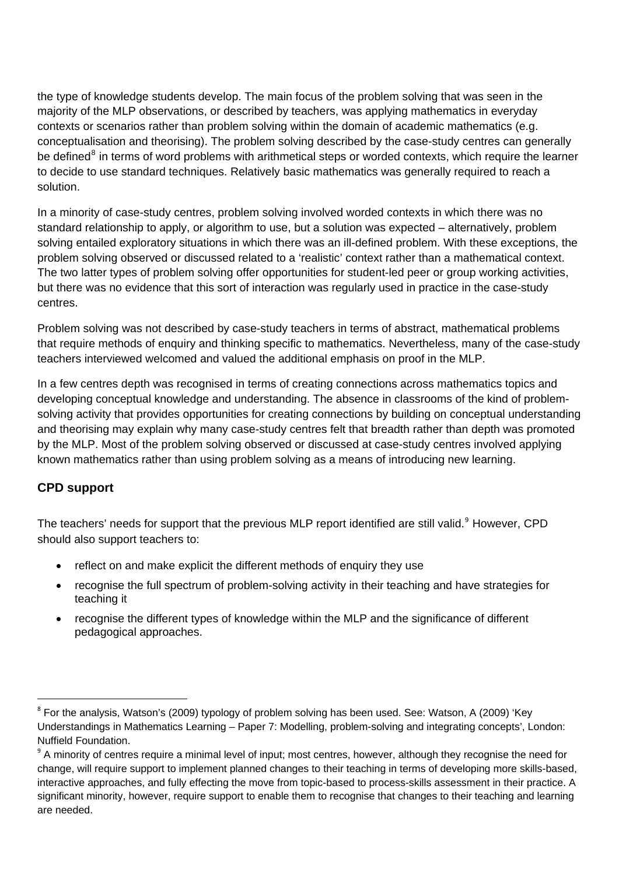<span id="page-5-0"></span>the type of knowledge students develop. The main focus of the problem solving that was seen in the majority of the MLP observations, or described by teachers, was applying mathematics in everyday contexts or scenarios rather than problem solving within the domain of academic mathematics (e.g. conceptualisation and theorising). The problem solving described by the case-study centres can generally be defined<sup>[8](#page-5-0)</sup> in terms of word problems with arithmetical steps or worded contexts, which require the learner to decide to use standard techniques. Relatively basic mathematics was generally required to reach a solution.

In a minority of case-study centres, problem solving involved worded contexts in which there was no standard relationship to apply, or algorithm to use, but a solution was expected – alternatively, problem solving entailed exploratory situations in which there was an ill-defined problem. With these exceptions, the problem solving observed or discussed related to a 'realistic' context rather than a mathematical context. The two latter types of problem solving offer opportunities for student-led peer or group working activities, but there was no evidence that this sort of interaction was regularly used in practice in the case-study centres.

Problem solving was not described by case-study teachers in terms of abstract, mathematical problems that require methods of enquiry and thinking specific to mathematics. Nevertheless, many of the case-study teachers interviewed welcomed and valued the additional emphasis on proof in the MLP.

In a few centres depth was recognised in terms of creating connections across mathematics topics and developing conceptual knowledge and understanding. The absence in classrooms of the kind of problemsolving activity that provides opportunities for creating connections by building on conceptual understanding and theorising may explain why many case-study centres felt that breadth rather than depth was promoted by the MLP. Most of the problem solving observed or discussed at case-study centres involved applying known mathematics rather than using problem solving as a means of introducing new learning.

## **CPD support**

The teachers' needs for support that the previous MLP report identified are still valid.<sup>[9](#page-5-0)</sup> However, CPD should also support teachers to:

- reflect on and make explicit the different methods of enquiry they use
- recognise the full spectrum of problem-solving activity in their teaching and have strategies for teaching it
- recognise the different types of knowledge within the MLP and the significance of different pedagogical approaches.

<sup>&</sup>lt;sup>8</sup> For the analysis, Watson's (2009) typology of problem solving has been used. See: Watson, A (2009) 'Key Understandings in Mathematics Learning – Paper 7: Modelling, problem-solving and integrating concepts', London: Nuffield Foundation.

<sup>&</sup>lt;sup>9</sup> A minority of centres require a minimal level of input; most centres, however, although they recognise the need for change, will require support to implement planned changes to their teaching in terms of developing more skills-based, interactive approaches, and fully effecting the move from topic-based to process-skills assessment in their practice. A significant minority, however, require support to enable them to recognise that changes to their teaching and learning are needed.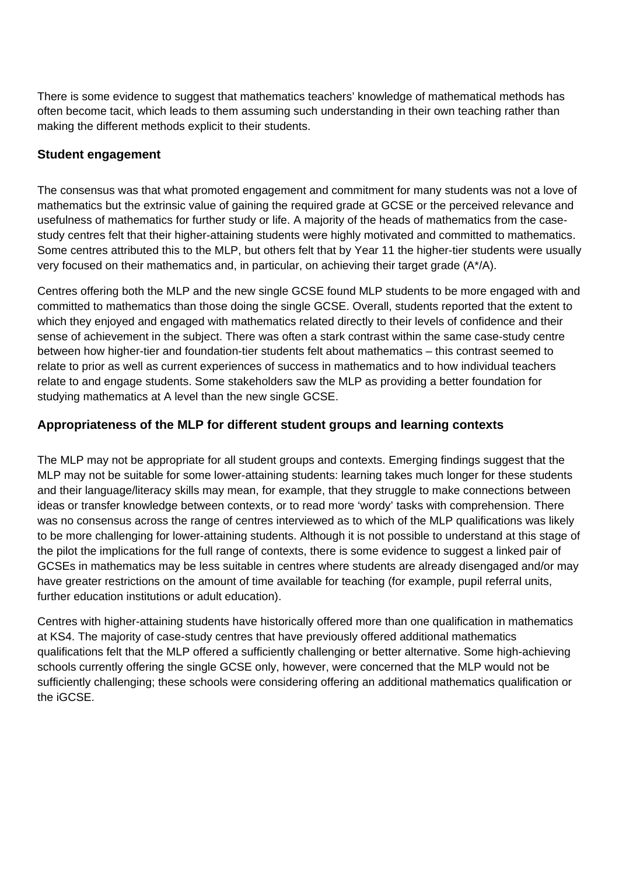There is some evidence to suggest that mathematics teachers' knowledge of mathematical methods has often become tacit, which leads to them assuming such understanding in their own teaching rather than making the different methods explicit to their students.

#### **Student engagement**

The consensus was that what promoted engagement and commitment for many students was not a love of mathematics but the extrinsic value of gaining the required grade at GCSE or the perceived relevance and usefulness of mathematics for further study or life. A majority of the heads of mathematics from the casestudy centres felt that their higher-attaining students were highly motivated and committed to mathematics. Some centres attributed this to the MLP, but others felt that by Year 11 the higher-tier students were usually very focused on their mathematics and, in particular, on achieving their target grade (A\*/A).

Centres offering both the MLP and the new single GCSE found MLP students to be more engaged with and committed to mathematics than those doing the single GCSE. Overall, students reported that the extent to which they enjoyed and engaged with mathematics related directly to their levels of confidence and their sense of achievement in the subject. There was often a stark contrast within the same case-study centre between how higher-tier and foundation-tier students felt about mathematics – this contrast seemed to relate to prior as well as current experiences of success in mathematics and to how individual teachers relate to and engage students. Some stakeholders saw the MLP as providing a better foundation for studying mathematics at A level than the new single GCSE.

## **Appropriateness of the MLP for different student groups and learning contexts**

The MLP may not be appropriate for all student groups and contexts. Emerging findings suggest that the MLP may not be suitable for some lower-attaining students: learning takes much longer for these students and their language/literacy skills may mean, for example, that they struggle to make connections between ideas or transfer knowledge between contexts, or to read more 'wordy' tasks with comprehension. There was no consensus across the range of centres interviewed as to which of the MLP qualifications was likely to be more challenging for lower-attaining students. Although it is not possible to understand at this stage of the pilot the implications for the full range of contexts, there is some evidence to suggest a linked pair of GCSEs in mathematics may be less suitable in centres where students are already disengaged and/or may have greater restrictions on the amount of time available for teaching (for example, pupil referral units, further education institutions or adult education).

Centres with higher-attaining students have historically offered more than one qualification in mathematics at KS4. The majority of case-study centres that have previously offered additional mathematics qualifications felt that the MLP offered a sufficiently challenging or better alternative. Some high-achieving schools currently offering the single GCSE only, however, were concerned that the MLP would not be sufficiently challenging; these schools were considering offering an additional mathematics qualification or the iGCSE.